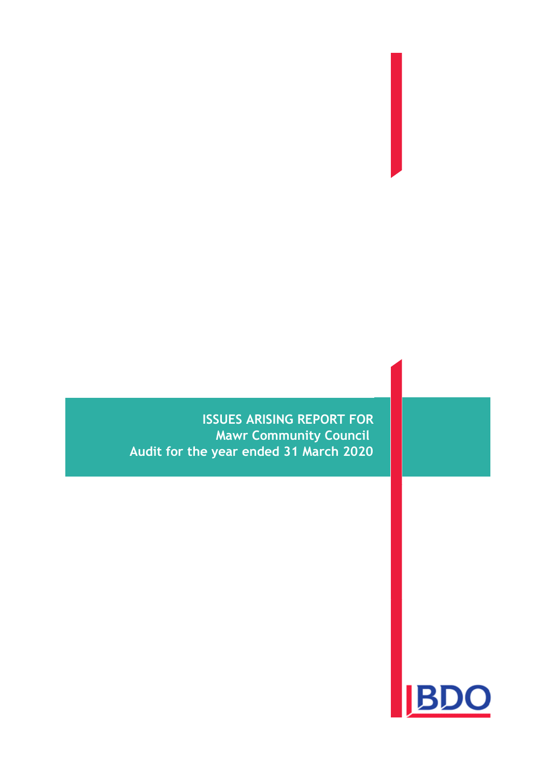**ISSUES ARISING REPORT FOR Mawr Community Council Audit for the year ended 31 March 2020**

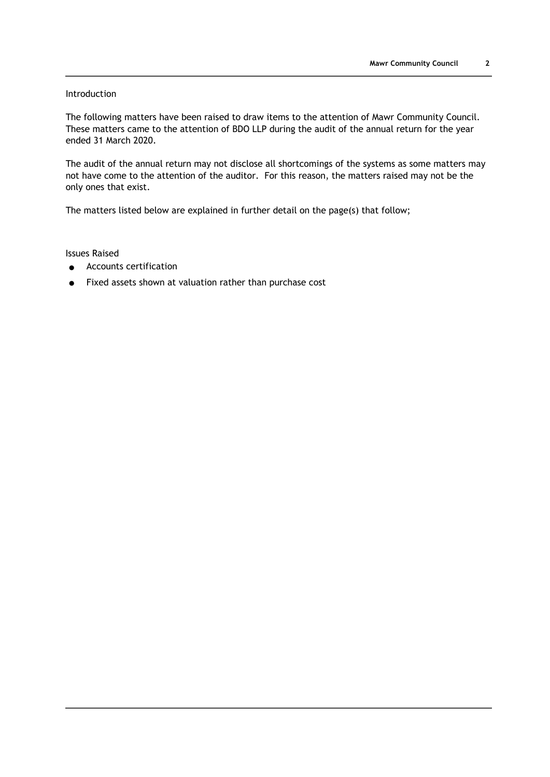# Introduction

The following matters have been raised to draw items to the attention of Mawr Community Council. These matters came to the attention of BDO LLP during the audit of the annual return for the year ended 31 March 2020.

The audit of the annual return may not disclose all shortcomings of the systems as some matters may not have come to the attention of the auditor. For this reason, the matters raised may not be the only ones that exist.

The matters listed below are explained in further detail on the page(s) that follow;

Issues Raised

- Accounts certification
- Fixed assets shown at valuation rather than purchase cost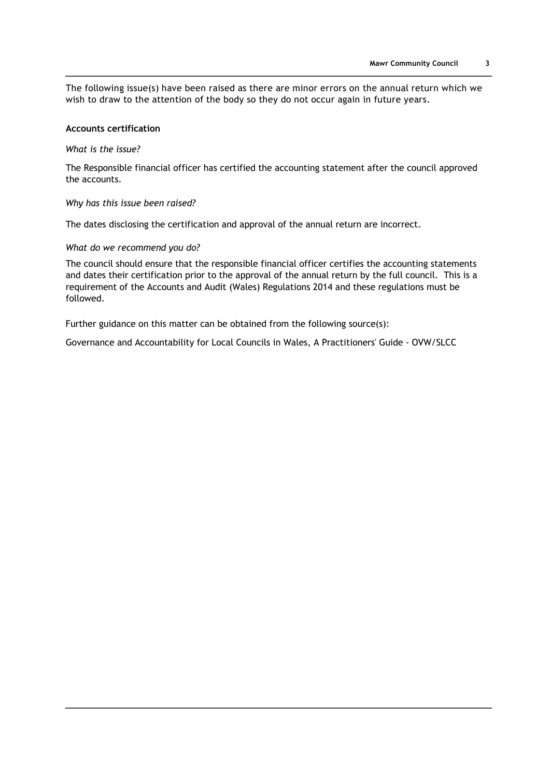The following issue(s) have been raised as there are minor errors on the annual return which we wish to draw to the attention of the body so they do not occur again in future years.

# **Accounts certification**

### *What is the issue?*

The Responsible financial officer has certified the accounting statement after the council approved the accounts.

#### *Why has this issue been raised?*

The dates disclosing the certification and approval of the annual return are incorrect.

#### *What do we recommend you do?*

The council should ensure that the responsible financial officer certifies the accounting statements and dates their certification prior to the approval of the annual return by the full council. This is a requirement of the Accounts and Audit (Wales) Regulations 2014 and these regulations must be followed.

Further guidance on this matter can be obtained from the following source(s):

Governance and Accountability for Local Councils in Wales, A Practitioners' Guide - OVW/SLCC